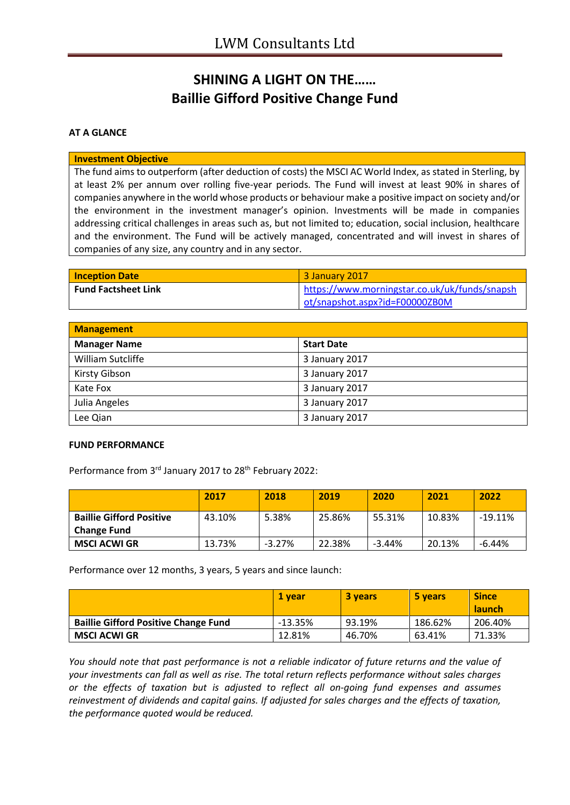## **SHINING A LIGHT ON THE…… Baillie Gifford Positive Change Fund**

### **AT A GLANCE**

#### **Investment Objective**

The fund aims to outperform (after deduction of costs) the MSCI AC World Index, as stated in Sterling, by at least 2% per annum over rolling five-year periods. The Fund will invest at least 90% in shares of companies anywhere in the world whose products or behaviour make a positive impact on society and/or the environment in the investment manager's opinion. Investments will be made in companies addressing critical challenges in areas such as, but not limited to; education, social inclusion, healthcare and the environment. The Fund will be actively managed, concentrated and will invest in shares of companies of any size, any country and in any sector.

| <b>Inception Date</b>      | 3 January 2017                                |
|----------------------------|-----------------------------------------------|
| <b>Fund Factsheet Link</b> | https://www.morningstar.co.uk/uk/funds/snapsh |
|                            | ot/snapshot.aspx?id=F00000ZB0M                |

| <b>Management</b>   |                   |  |
|---------------------|-------------------|--|
| <b>Manager Name</b> | <b>Start Date</b> |  |
| William Sutcliffe   | 3 January 2017    |  |
| Kirsty Gibson       | 3 January 2017    |  |
| Kate Fox            | 3 January 2017    |  |
| Julia Angeles       | 3 January 2017    |  |
| Lee Qian            | 3 January 2017    |  |

#### **FUND PERFORMANCE**

Performance from 3rd January 2017 to 28<sup>th</sup> February 2022:

|                                                       | 2017   | 2018     | 2019   | 2020     | 2021   | 2022      |
|-------------------------------------------------------|--------|----------|--------|----------|--------|-----------|
| <b>Baillie Gifford Positive</b><br><b>Change Fund</b> | 43.10% | 5.38%    | 25.86% | 55.31%   | 10.83% | $-19.11%$ |
| MSCI ACWI GR                                          | 13.73% | $-3.27%$ | 22.38% | $-3.44%$ | 20.13% | $-6.44%$  |

Performance over 12 months, 3 years, 5 years and since launch:

|                                             | 1 vear    | <b>3 years</b> | 5 years | <b>Since</b><br><b>launch</b> |
|---------------------------------------------|-----------|----------------|---------|-------------------------------|
| <b>Baillie Gifford Positive Change Fund</b> | $-13.35%$ | 93.19%         | 186.62% | 206.40%                       |
| MSCI ACWI GR                                | 12.81%    | 46.70%         | 63.41%  | 71.33%                        |

*You should note that past performance is not a reliable indicator of future returns and the value of your investments can fall as well as rise. The total return reflects performance without sales charges or the effects of taxation but is adjusted to reflect all on-going fund expenses and assumes reinvestment of dividends and capital gains. If adjusted for sales charges and the effects of taxation, the performance quoted would be reduced.*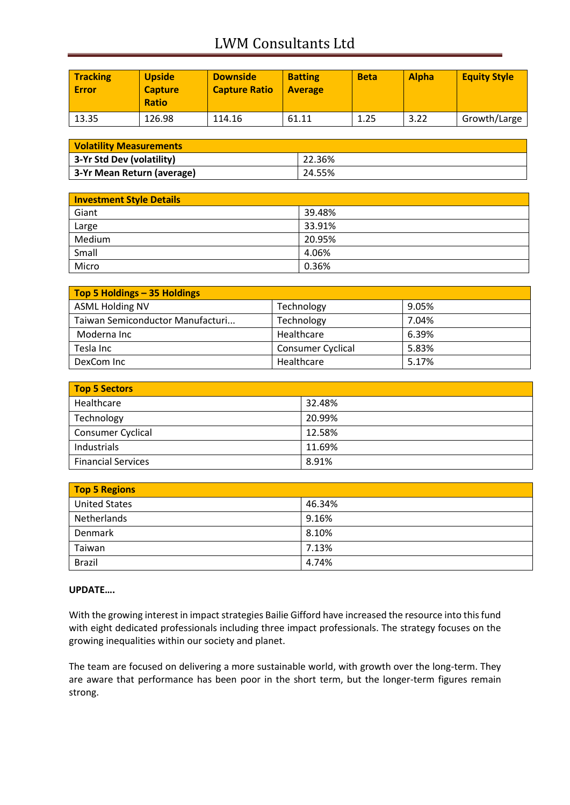# LWM Consultants Ltd

| <b>Tracking</b><br>Error | <b>Upside</b><br><b>Capture</b><br><b>Ratio</b> | <b>Downside</b><br><b>Capture Ratio</b> | <b>Batting</b><br><b>Average</b> | <b>Beta</b> | <b>Alpha</b> | <b>Equity Style</b> |
|--------------------------|-------------------------------------------------|-----------------------------------------|----------------------------------|-------------|--------------|---------------------|
| 13.35                    | 126.98                                          | 114.16                                  | 61.11                            | 1.25        | 3.22         | Growth/Large        |

| <b>Volatility Measurements</b> |        |  |
|--------------------------------|--------|--|
| 3-Yr Std Dev (volatility)      | 22.36% |  |
| 3-Yr Mean Return (average)     | 24.55% |  |

| <b>Investment Style Details</b> |        |  |
|---------------------------------|--------|--|
| Giant                           | 39.48% |  |
| Large                           | 33.91% |  |
| Medium                          | 20.95% |  |
| Small                           | 4.06%  |  |
| Micro                           | 0.36%  |  |

| Top 5 Holdings - 35 Holdings     |                          |       |
|----------------------------------|--------------------------|-------|
| <b>ASML Holding NV</b>           | Technology               | 9.05% |
| Taiwan Semiconductor Manufacturi | Technology               | 7.04% |
| Moderna Inc                      | Healthcare               | 6.39% |
| Tesla Inc                        | <b>Consumer Cyclical</b> | 5.83% |
| DexCom Inc                       | Healthcare               | 5.17% |

| Top 5 Sectors             |        |  |
|---------------------------|--------|--|
| Healthcare                | 32.48% |  |
| Technology                | 20.99% |  |
| Consumer Cyclical         | 12.58% |  |
| Industrials               | 11.69% |  |
| <b>Financial Services</b> | 8.91%  |  |

| <b>Top 5 Regions</b> |        |  |
|----------------------|--------|--|
| <b>United States</b> | 46.34% |  |
| Netherlands          | 9.16%  |  |
| Denmark              | 8.10%  |  |
| Taiwan               | 7.13%  |  |
| <b>Brazil</b>        | 4.74%  |  |

### **UPDATE….**

With the growing interest in impact strategies Bailie Gifford have increased the resource into this fund with eight dedicated professionals including three impact professionals. The strategy focuses on the growing inequalities within our society and planet.

The team are focused on delivering a more sustainable world, with growth over the long-term. They are aware that performance has been poor in the short term, but the longer-term figures remain strong.